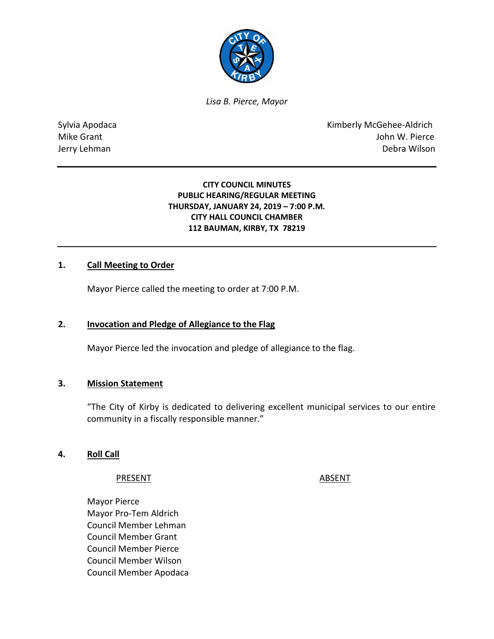

*Lisa B. Pierce, Mayor* 

Sylvia Apodaca **Kimberly McGehee-Aldrich** Mike Grant **Mike Grant** John W. Pierce Jerry Lehman Debra Wilson

# **CITY COUNCIL MINUTES PUBLIC HEARING/REGULAR MEETING THURSDAY, JANUARY 24, 2019 – 7:00 P.M. CITY HALL COUNCIL CHAMBER 112 BAUMAN, KIRBY, TX 78219**

# **1. Call Meeting to Order**

Mayor Pierce called the meeting to order at 7:00 P.M.

### **2. Invocation and Pledge of Allegiance to the Flag**

Mayor Pierce led the invocation and pledge of allegiance to the flag.

#### **3. Mission Statement**

"The City of Kirby is dedicated to delivering excellent municipal services to our entire community in a fiscally responsible manner."

#### **4. Roll Call**

PRESENT ABSENT

Mayor Pierce Mayor Pro-Tem Aldrich Council Member Lehman Council Member Grant Council Member Pierce Council Member Wilson Council Member Apodaca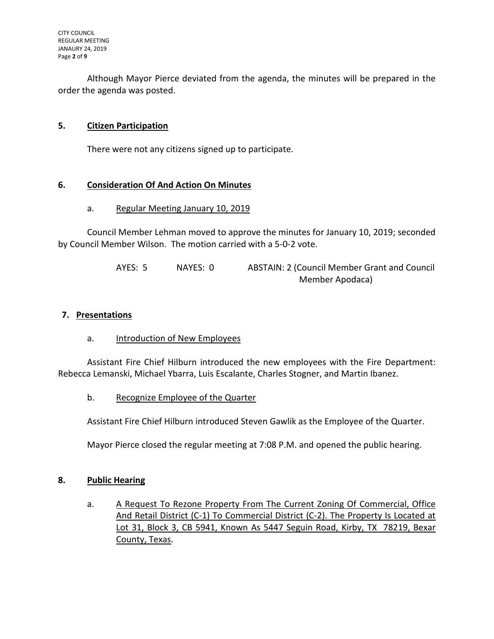Although Mayor Pierce deviated from the agenda, the minutes will be prepared in the order the agenda was posted.

# **5. Citizen Participation**

There were not any citizens signed up to participate.

# **6. Consideration Of And Action On Minutes**

### a. Regular Meeting January 10, 2019

Council Member Lehman moved to approve the minutes for January 10, 2019; seconded by Council Member Wilson. The motion carried with a 5-0-2 vote.

> AYES: 5 NAYES: 0 ABSTAIN: 2 (Council Member Grant and Council Member Apodaca)

## **7. Presentations**

a. Introduction of New Employees

Assistant Fire Chief Hilburn introduced the new employees with the Fire Department: Rebecca Lemanski, Michael Ybarra, Luis Escalante, Charles Stogner, and Martin Ibanez.

b. Recognize Employee of the Quarter

Assistant Fire Chief Hilburn introduced Steven Gawlik as the Employee of the Quarter.

Mayor Pierce closed the regular meeting at 7:08 P.M. and opened the public hearing.

### **8. Public Hearing**

a. A Request To Rezone Property From The Current Zoning Of Commercial, Office And Retail District (C-1) To Commercial District (C-2). The Property Is Located at Lot 31, Block 3, CB 5941, Known As 5447 Seguin Road, Kirby, TX 78219, Bexar County, Texas.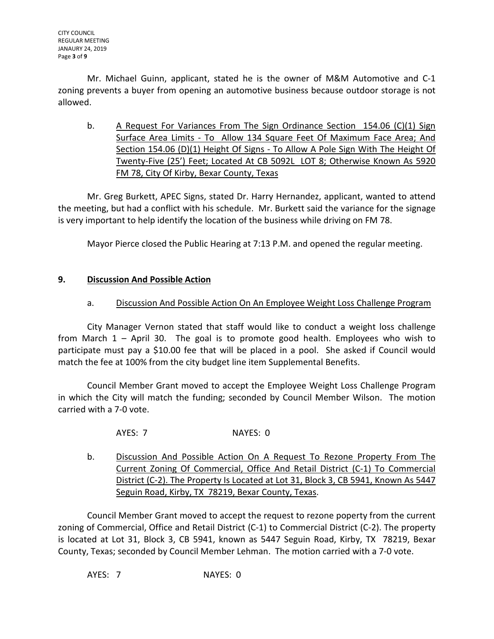Mr. Michael Guinn, applicant, stated he is the owner of M&M Automotive and C-1 zoning prevents a buyer from opening an automotive business because outdoor storage is not allowed.

b. A Request For Variances From The Sign Ordinance Section 154.06 (C)(1) Sign Surface Area Limits - To Allow 134 Square Feet Of Maximum Face Area; And Section 154.06 (D)(1) Height Of Signs - To Allow A Pole Sign With The Height Of Twenty-Five (25') Feet; Located At CB 5092L LOT 8; Otherwise Known As 5920 FM 78, City Of Kirby, Bexar County, Texas

Mr. Greg Burkett, APEC Signs, stated Dr. Harry Hernandez, applicant, wanted to attend the meeting, but had a conflict with his schedule. Mr. Burkett said the variance for the signage is very important to help identify the location of the business while driving on FM 78.

Mayor Pierce closed the Public Hearing at 7:13 P.M. and opened the regular meeting.

# **9. Discussion And Possible Action**

# a. Discussion And Possible Action On An Employee Weight Loss Challenge Program

City Manager Vernon stated that staff would like to conduct a weight loss challenge from March 1 – April 30. The goal is to promote good health. Employees who wish to participate must pay a \$10.00 fee that will be placed in a pool. She asked if Council would match the fee at 100% from the city budget line item Supplemental Benefits.

Council Member Grant moved to accept the Employee Weight Loss Challenge Program in which the City will match the funding; seconded by Council Member Wilson. The motion carried with a 7-0 vote.

AYES: 7 NAYES: 0

b. Discussion And Possible Action On A Request To Rezone Property From The Current Zoning Of Commercial, Office And Retail District (C-1) To Commercial District (C-2). The Property Is Located at Lot 31, Block 3, CB 5941, Known As 5447 Seguin Road, Kirby, TX 78219, Bexar County, Texas.

Council Member Grant moved to accept the request to rezone poperty from the current zoning of Commercial, Office and Retail District (C-1) to Commercial District (C-2). The property is located at Lot 31, Block 3, CB 5941, known as 5447 Seguin Road, Kirby, TX 78219, Bexar County, Texas; seconded by Council Member Lehman. The motion carried with a 7-0 vote.

AYES: 7 NAYES: 0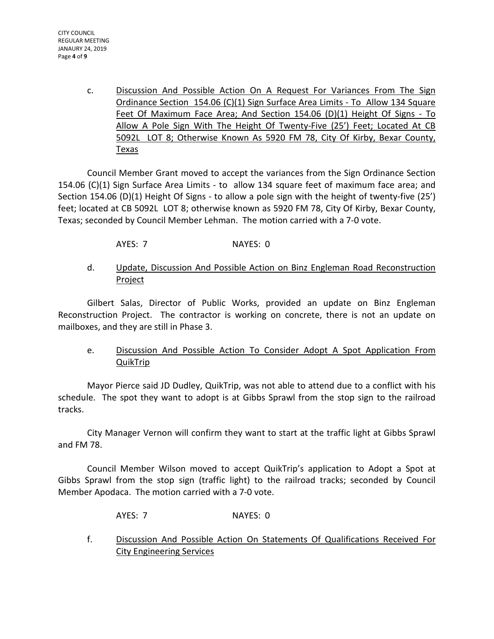c. Discussion And Possible Action On A Request For Variances From The Sign Ordinance Section 154.06 (C)(1) Sign Surface Area Limits - To Allow 134 Square Feet Of Maximum Face Area; And Section 154.06 (D)(1) Height Of Signs - To Allow A Pole Sign With The Height Of Twenty-Five (25') Feet; Located At CB 5092L LOT 8; Otherwise Known As 5920 FM 78, City Of Kirby, Bexar County, Texas

Council Member Grant moved to accept the variances from the Sign Ordinance Section 154.06 (C)(1) Sign Surface Area Limits - to allow 134 square feet of maximum face area; and Section 154.06 (D)(1) Height Of Signs - to allow a pole sign with the height of twenty-five (25') feet; located at CB 5092L LOT 8; otherwise known as 5920 FM 78, City Of Kirby, Bexar County, Texas; seconded by Council Member Lehman. The motion carried with a 7-0 vote.

AYES: 7 NAYES: 0

# d. Update, Discussion And Possible Action on Binz Engleman Road Reconstruction **Project**

Gilbert Salas, Director of Public Works, provided an update on Binz Engleman Reconstruction Project. The contractor is working on concrete, there is not an update on mailboxes, and they are still in Phase 3.

e. Discussion And Possible Action To Consider Adopt A Spot Application From QuikTrip

Mayor Pierce said JD Dudley, QuikTrip, was not able to attend due to a conflict with his schedule. The spot they want to adopt is at Gibbs Sprawl from the stop sign to the railroad tracks.

City Manager Vernon will confirm they want to start at the traffic light at Gibbs Sprawl and FM 78.

Council Member Wilson moved to accept QuikTrip's application to Adopt a Spot at Gibbs Sprawl from the stop sign (traffic light) to the railroad tracks; seconded by Council Member Apodaca. The motion carried with a 7-0 vote.

- AYES: 7 NAYES: 0
- f. Discussion And Possible Action On Statements Of Qualifications Received For City Engineering Services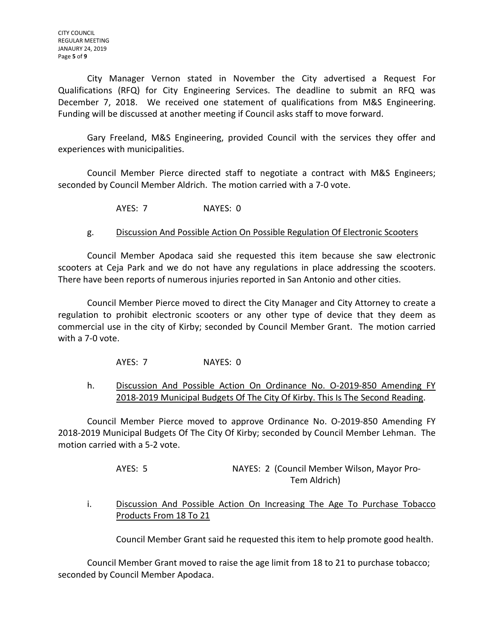CITY COUNCIL REGULAR MEETING JANAURY 24, 2019 Page **5** of **9**

City Manager Vernon stated in November the City advertised a Request For Qualifications (RFQ) for City Engineering Services. The deadline to submit an RFQ was December 7, 2018. We received one statement of qualifications from M&S Engineering. Funding will be discussed at another meeting if Council asks staff to move forward.

Gary Freeland, M&S Engineering, provided Council with the services they offer and experiences with municipalities.

Council Member Pierce directed staff to negotiate a contract with M&S Engineers; seconded by Council Member Aldrich. The motion carried with a 7-0 vote.

AYES: 7 NAYES: 0

# g. Discussion And Possible Action On Possible Regulation Of Electronic Scooters

Council Member Apodaca said she requested this item because she saw electronic scooters at Ceja Park and we do not have any regulations in place addressing the scooters. There have been reports of numerous injuries reported in San Antonio and other cities.

Council Member Pierce moved to direct the City Manager and City Attorney to create a regulation to prohibit electronic scooters or any other type of device that they deem as commercial use in the city of Kirby; seconded by Council Member Grant. The motion carried with a 7-0 vote.

AYES: 7 NAYES: 0

h. Discussion And Possible Action On Ordinance No. 0-2019-850 Amending FY 2018-2019 Municipal Budgets Of The City Of Kirby. This Is The Second Reading.

Council Member Pierce moved to approve Ordinance No. O-2019-850 Amending FY 2018-2019 Municipal Budgets Of The City Of Kirby; seconded by Council Member Lehman. The motion carried with a 5-2 vote.

> AYES: 5 NAYES: 2 (Council Member Wilson, Mayor Pro-Tem Aldrich)

### i. Discussion And Possible Action On Increasing The Age To Purchase Tobacco Products From 18 To 21

Council Member Grant said he requested this item to help promote good health.

Council Member Grant moved to raise the age limit from 18 to 21 to purchase tobacco; seconded by Council Member Apodaca.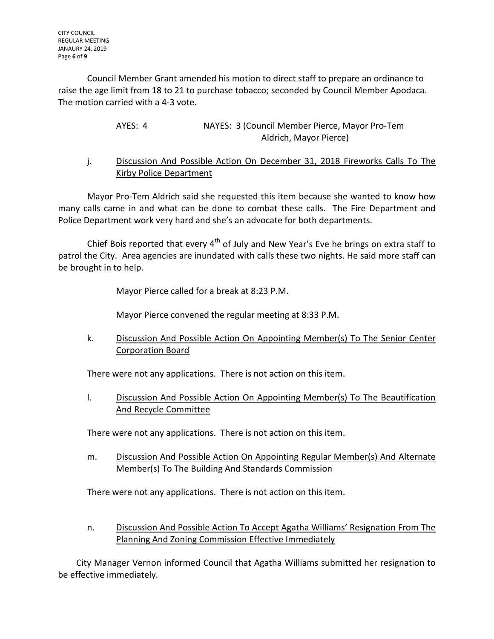Council Member Grant amended his motion to direct staff to prepare an ordinance to raise the age limit from 18 to 21 to purchase tobacco; seconded by Council Member Apodaca. The motion carried with a 4-3 vote.

| AYES: 4 | NAYES: 3 (Council Member Pierce, Mayor Pro-Tem |
|---------|------------------------------------------------|
|         | Aldrich, Mayor Pierce)                         |

# j. Discussion And Possible Action On December 31, 2018 Fireworks Calls To The Kirby Police Department

Mayor Pro-Tem Aldrich said she requested this item because she wanted to know how many calls came in and what can be done to combat these calls. The Fire Department and Police Department work very hard and she's an advocate for both departments.

Chief Bois reported that every  $4<sup>th</sup>$  of July and New Year's Eve he brings on extra staff to patrol the City. Area agencies are inundated with calls these two nights. He said more staff can be brought in to help.

Mayor Pierce called for a break at 8:23 P.M.

Mayor Pierce convened the regular meeting at 8:33 P.M.

k. Discussion And Possible Action On Appointing Member(s) To The Senior Center Corporation Board

There were not any applications. There is not action on this item.

l. Discussion And Possible Action On Appointing Member(s) To The Beautification And Recycle Committee

There were not any applications. There is not action on this item.

m. Discussion And Possible Action On Appointing Regular Member(s) And Alternate Member(s) To The Building And Standards Commission

There were not any applications. There is not action on this item.

n. Discussion And Possible Action To Accept Agatha Williams' Resignation From The Planning And Zoning Commission Effective Immediately

City Manager Vernon informed Council that Agatha Williams submitted her resignation to be effective immediately.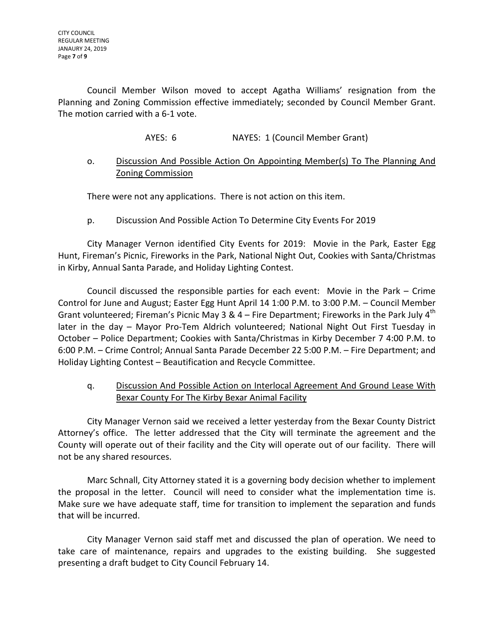Council Member Wilson moved to accept Agatha Williams' resignation from the Planning and Zoning Commission effective immediately; seconded by Council Member Grant. The motion carried with a 6-1 vote.

AYES: 6 NAYES: 1 (Council Member Grant)

# o. Discussion And Possible Action On Appointing Member(s) To The Planning And Zoning Commission

There were not any applications. There is not action on this item.

# p. Discussion And Possible Action To Determine City Events For 2019

City Manager Vernon identified City Events for 2019: Movie in the Park, Easter Egg Hunt, Fireman's Picnic, Fireworks in the Park, National Night Out, Cookies with Santa/Christmas in Kirby, Annual Santa Parade, and Holiday Lighting Contest.

Council discussed the responsible parties for each event: Movie in the Park – Crime Control for June and August; Easter Egg Hunt April 14 1:00 P.M. to 3:00 P.M. – Council Member Grant volunteered; Fireman's Picnic May 3 & 4 – Fire Department; Fireworks in the Park July  $4<sup>th</sup>$ later in the day – Mayor Pro-Tem Aldrich volunteered; National Night Out First Tuesday in October – Police Department; Cookies with Santa/Christmas in Kirby December 7 4:00 P.M. to 6:00 P.M. – Crime Control; Annual Santa Parade December 22 5:00 P.M. – Fire Department; and Holiday Lighting Contest – Beautification and Recycle Committee.

q. Discussion And Possible Action on Interlocal Agreement And Ground Lease With Bexar County For The Kirby Bexar Animal Facility

City Manager Vernon said we received a letter yesterday from the Bexar County District Attorney's office. The letter addressed that the City will terminate the agreement and the County will operate out of their facility and the City will operate out of our facility. There will not be any shared resources.

Marc Schnall, City Attorney stated it is a governing body decision whether to implement the proposal in the letter. Council will need to consider what the implementation time is. Make sure we have adequate staff, time for transition to implement the separation and funds that will be incurred.

City Manager Vernon said staff met and discussed the plan of operation. We need to take care of maintenance, repairs and upgrades to the existing building. She suggested presenting a draft budget to City Council February 14.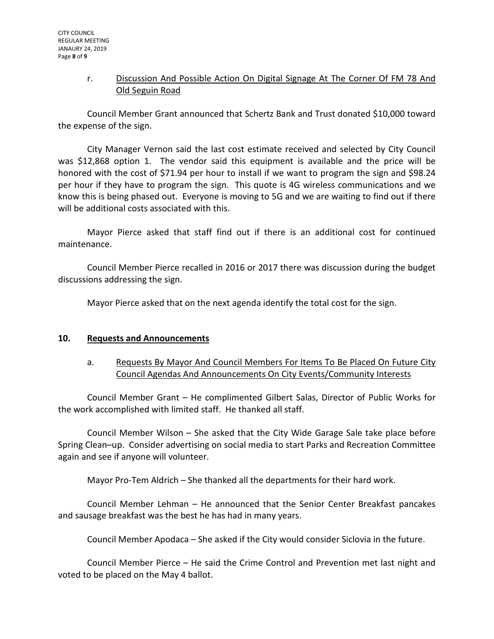# r. Discussion And Possible Action On Digital Signage At The Corner Of FM 78 And Old Seguin Road

Council Member Grant announced that Schertz Bank and Trust donated \$10,000 toward the expense of the sign.

City Manager Vernon said the last cost estimate received and selected by City Council was \$12,868 option 1. The vendor said this equipment is available and the price will be honored with the cost of \$71.94 per hour to install if we want to program the sign and \$98.24 per hour if they have to program the sign. This quote is 4G wireless communications and we know this is being phased out. Everyone is moving to 5G and we are waiting to find out if there will be additional costs associated with this.

Mayor Pierce asked that staff find out if there is an additional cost for continued maintenance.

Council Member Pierce recalled in 2016 or 2017 there was discussion during the budget discussions addressing the sign.

Mayor Pierce asked that on the next agenda identify the total cost for the sign.

### **10. Requests and Announcements**

a. Requests By Mayor And Council Members For Items To Be Placed On Future City Council Agendas And Announcements On City Events/Community Interests

Council Member Grant – He complimented Gilbert Salas, Director of Public Works for the work accomplished with limited staff. He thanked all staff.

Council Member Wilson – She asked that the City Wide Garage Sale take place before Spring Clean–up. Consider advertising on social media to start Parks and Recreation Committee again and see if anyone will volunteer.

Mayor Pro-Tem Aldrich – She thanked all the departments for their hard work.

Council Member Lehman – He announced that the Senior Center Breakfast pancakes and sausage breakfast was the best he has had in many years.

Council Member Apodaca – She asked if the City would consider Siclovia in the future.

Council Member Pierce – He said the Crime Control and Prevention met last night and voted to be placed on the May 4 ballot.